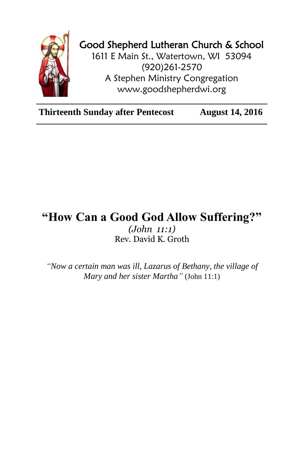

## Good Shepherd Lutheran Church & School

1611 E Main St., Watertown, WI 53094 (920)261-2570 A Stephen Ministry Congregation [www.goodshepherdwi.org](http://www.goodshepherdwi.org/)

**Thirteenth Sunday after Pentecost August 14, 2016**

## **"How Can a Good God Allow Suffering?"** *(John 11:1)* Rev. David K. Groth

*"Now a certain man was ill, Lazarus of Bethany, the village of Mary and her sister Martha"* (John 11:1)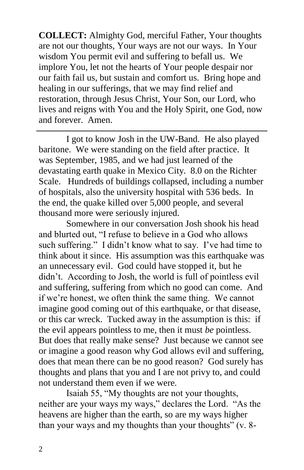**COLLECT:** Almighty God, merciful Father, Your thoughts are not our thoughts, Your ways are not our ways. In Your wisdom You permit evil and suffering to befall us. We implore You, let not the hearts of Your people despair nor our faith fail us, but sustain and comfort us. Bring hope and healing in our sufferings, that we may find relief and restoration, through Jesus Christ, Your Son, our Lord, who lives and reigns with You and the Holy Spirit, one God, now and forever. Amen.

I got to know Josh in the UW-Band. He also played baritone. We were standing on the field after practice. It was September, 1985, and we had just learned of the devastating earth quake in Mexico City. 8.0 on the Richter Scale. Hundreds of buildings collapsed, including a number of hospitals, also the university hospital with 536 beds. In the end, the quake killed over 5,000 people, and several thousand more were seriously injured.

Somewhere in our conversation Josh shook his head and blurted out, "I refuse to believe in a God who allows such suffering." I didn't know what to say. I've had time to think about it since. His assumption was this earthquake was an unnecessary evil. God could have stopped it, but he didn't. According to Josh, the world is full of pointless evil and suffering, suffering from which no good can come. And if we're honest, we often think the same thing. We cannot imagine good coming out of this earthquake, or that disease, or this car wreck. Tucked away in the assumption is this: if the evil appears pointless to me, then it must *be* pointless. But does that really make sense? Just because we cannot see or imagine a good reason why God allows evil and suffering, does that mean there can be no good reason? God surely has thoughts and plans that you and I are not privy to, and could not understand them even if we were.

Isaiah 55, "My thoughts are not your thoughts, neither are your ways my ways," declares the Lord. "As the heavens are higher than the earth, so are my ways higher than your ways and my thoughts than your thoughts" (v. 8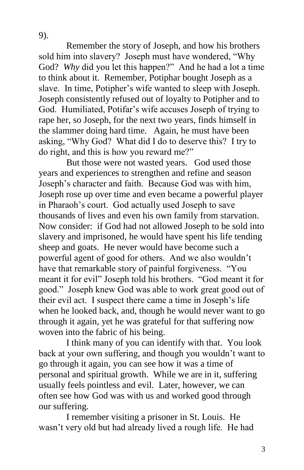9).

Remember the story of Joseph, and how his brothers sold him into slavery? Joseph must have wondered, "Why God? *Why* did you let this happen?" And he had a lot a time to think about it. Remember, Potiphar bought Joseph as a slave. In time, Potipher's wife wanted to sleep with Joseph. Joseph consistently refused out of loyalty to Potipher and to God. Humiliated, Potifar's wife accuses Joseph of trying to rape her, so Joseph, for the next two years, finds himself in the slammer doing hard time. Again, he must have been asking, "Why God? What did I do to deserve this? I try to do right, and this is how you reward me?"

But those were not wasted years. God used those years and experiences to strengthen and refine and season Joseph's character and faith. Because God was with him, Joseph rose up over time and even became a powerful player in Pharaoh's court. God actually used Joseph to save thousands of lives and even his own family from starvation. Now consider: if God had not allowed Joseph to be sold into slavery and imprisoned, he would have spent his life tending sheep and goats. He never would have become such a powerful agent of good for others. And we also wouldn't have that remarkable story of painful forgiveness. "You meant it for evil" Joseph told his brothers. "God meant it for good." Joseph knew God was able to work great good out of their evil act. I suspect there came a time in Joseph's life when he looked back, and, though he would never want to go through it again, yet he was grateful for that suffering now woven into the fabric of his being.

I think many of you can identify with that. You look back at your own suffering, and though you wouldn't want to go through it again, you can see how it was a time of personal and spiritual growth. While we are in it, suffering usually feels pointless and evil. Later, however, we can often see how God was with us and worked good through our suffering.

I remember visiting a prisoner in St. Louis. He wasn't very old but had already lived a rough life. He had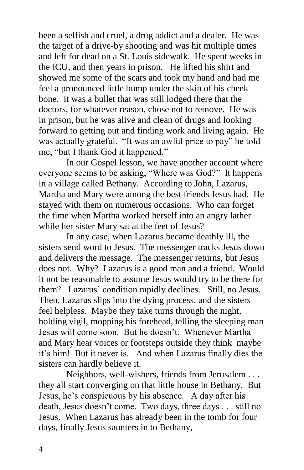been a selfish and cruel, a drug addict and a dealer. He was the target of a drive-by shooting and was hit multiple times and left for dead on a St. Louis sidewalk. He spent weeks in the ICU, and then years in prison. He lifted his shirt and showed me some of the scars and took my hand and had me feel a pronounced little bump under the skin of his cheek bone. It was a bullet that was still lodged there that the doctors, for whatever reason, chose not to remove. He was in prison, but he was alive and clean of drugs and looking forward to getting out and finding work and living again. He was actually grateful. "It was an awful price to pay" he told me, "but I thank God it happened."

In our Gospel lesson, we have another account where everyone seems to be asking, "Where was God?" It happens in a village called Bethany. According to John, Lazarus, Martha and Mary were among the best friends Jesus had. He stayed with them on numerous occasions. Who can forget the time when Martha worked herself into an angry lather while her sister Mary sat at the feet of Jesus?

In any case, when Lazarus became deathly ill, the sisters send word to Jesus. The messenger tracks Jesus down and delivers the message. The messenger returns, but Jesus does not. Why? Lazarus is a good man and a friend. Would it not be reasonable to assume Jesus would try to be there for them? Lazarus' condition rapidly declines. Still, no Jesus. Then, Lazarus slips into the dying process, and the sisters feel helpless. Maybe they take turns through the night, holding vigil, mopping his forehead, telling the sleeping man Jesus will come soon. But he doesn't. Whenever Martha and Mary hear voices or footsteps outside they think maybe it's him! But it never is. And when Lazarus finally dies the sisters can hardly believe it.

Neighbors, well-wishers, friends from Jerusalem . . . they all start converging on that little house in Bethany. But Jesus, he's conspicuous by his absence. A day after his death, Jesus doesn't come. Two days, three days . . . still no Jesus. When Lazarus has already been in the tomb for four days, finally Jesus saunters in to Bethany,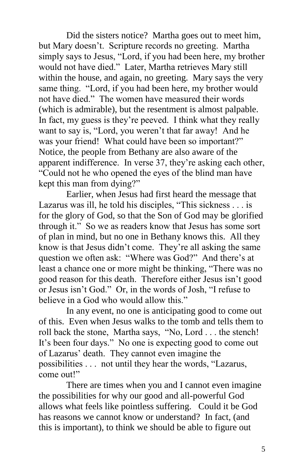Did the sisters notice? Martha goes out to meet him, but Mary doesn't. Scripture records no greeting. Martha simply says to Jesus, "Lord, if you had been here, my brother would not have died." Later, Martha retrieves Mary still within the house, and again, no greeting. Mary says the very same thing. "Lord, if you had been here, my brother would not have died." The women have measured their words (which is admirable), but the resentment is almost palpable. In fact, my guess is they're peeved. I think what they really want to say is, "Lord, you weren't that far away! And he was your friend! What could have been so important?" Notice, the people from Bethany are also aware of the apparent indifference. In verse 37, they're asking each other, "Could not he who opened the eyes of the blind man have kept this man from dying?"

Earlier, when Jesus had first heard the message that Lazarus was ill, he told his disciples, "This sickness . . . is for the glory of God, so that the Son of God may be glorified through it." So we as readers know that Jesus has some sort of plan in mind, but no one in Bethany knows this. All they know is that Jesus didn't come. They're all asking the same question we often ask: "Where was God?" And there's at least a chance one or more might be thinking, "There was no good reason for this death. Therefore either Jesus isn't good or Jesus isn't God." Or, in the words of Josh, "I refuse to believe in a God who would allow this."

In any event, no one is anticipating good to come out of this. Even when Jesus walks to the tomb and tells them to roll back the stone, Martha says, "No, Lord . . . the stench! It's been four days." No one is expecting good to come out of Lazarus' death. They cannot even imagine the possibilities . . . not until they hear the words, "Lazarus, come out!"

There are times when you and I cannot even imagine the possibilities for why our good and all-powerful God allows what feels like pointless suffering. Could it be God has reasons we cannot know or understand? In fact, (and this is important), to think we should be able to figure out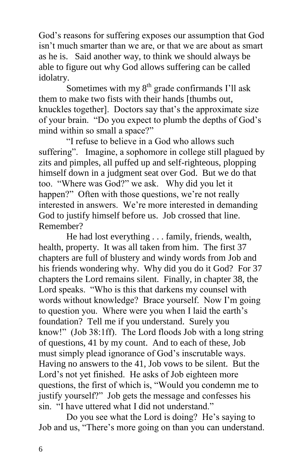God's reasons for suffering exposes our assumption that God isn't much smarter than we are, or that we are about as smart as he is. Said another way, to think we should always be able to figure out why God allows suffering can be called idolatry.

Sometimes with my  $8<sup>th</sup>$  grade confirmands I'll ask them to make two fists with their hands [thumbs out, knuckles together]. Doctors say that's the approximate size of your brain. "Do you expect to plumb the depths of God's mind within so small a space?"

"I refuse to believe in a God who allows such suffering". Imagine, a sophomore in college still plagued by zits and pimples, all puffed up and self-righteous, plopping himself down in a judgment seat over God. But we do that too. "Where was God?" we ask. Why did you let it happen?" Often with those questions, we're not really interested in answers. We're more interested in demanding God to justify himself before us. Job crossed that line. Remember?

He had lost everything . . . family, friends, wealth, health, property. It was all taken from him. The first 37 chapters are full of blustery and windy words from Job and his friends wondering why. Why did you do it God? For 37 chapters the Lord remains silent. Finally, in chapter 38, the Lord speaks. "Who is this that darkens my counsel with words without knowledge? Brace yourself. Now I'm going to question you. Where were you when I laid the earth's foundation? Tell me if you understand. Surely you know!" (Job 38:1ff). The Lord floods Job with a long string of questions, 41 by my count. And to each of these, Job must simply plead ignorance of God's inscrutable ways. Having no answers to the 41, Job vows to be silent. But the Lord's not yet finished. He asks of Job eighteen more questions, the first of which is, "Would you condemn me to justify yourself?" Job gets the message and confesses his sin. "I have uttered what I did not understand."

Do you see what the Lord is doing? He's saying to Job and us, "There's more going on than you can understand.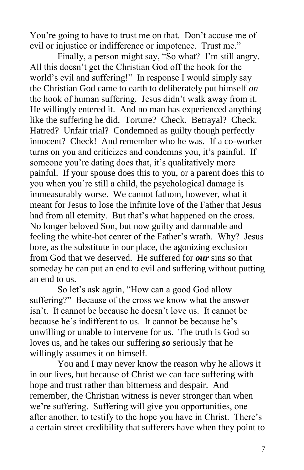You're going to have to trust me on that. Don't accuse me of evil or injustice or indifference or impotence. Trust me."

Finally, a person might say, "So what? I'm still angry. All this doesn't get the Christian God off the hook for the world's evil and suffering!" In response I would simply say the Christian God came to earth to deliberately put himself *on* the hook of human suffering. Jesus didn't walk away from it. He willingly entered it. And no man has experienced anything like the suffering he did. Torture? Check. Betrayal? Check. Hatred? Unfair trial? Condemned as guilty though perfectly innocent? Check! And remember who he was. If a co-worker turns on you and criticizes and condemns you, it's painful. If someone you're dating does that, it's qualitatively more painful. If your spouse does this to you, or a parent does this to you when you're still a child, the psychological damage is immeasurably worse. We cannot fathom, however, what it meant for Jesus to lose the infinite love of the Father that Jesus had from all eternity. But that's what happened on the cross. No longer beloved Son, but now guilty and damnable and feeling the white-hot center of the Father's wrath. Why? Jesus bore, as the substitute in our place, the agonizing exclusion from God that we deserved. He suffered for *our* sins so that someday he can put an end to evil and suffering without putting an end to us.

So let's ask again, "How can a good God allow suffering?" Because of the cross we know what the answer isn't. It cannot be because he doesn't love us. It cannot be because he's indifferent to us. It cannot be because he's unwilling or unable to intervene for us. The truth is God so loves us, and he takes our suffering *so* seriously that he willingly assumes it on himself.

You and I may never know the reason why he allows it in our lives, but because of Christ we can face suffering with hope and trust rather than bitterness and despair. And remember, the Christian witness is never stronger than when we're suffering. Suffering will give you opportunities, one after another, to testify to the hope you have in Christ. There's a certain street credibility that sufferers have when they point to